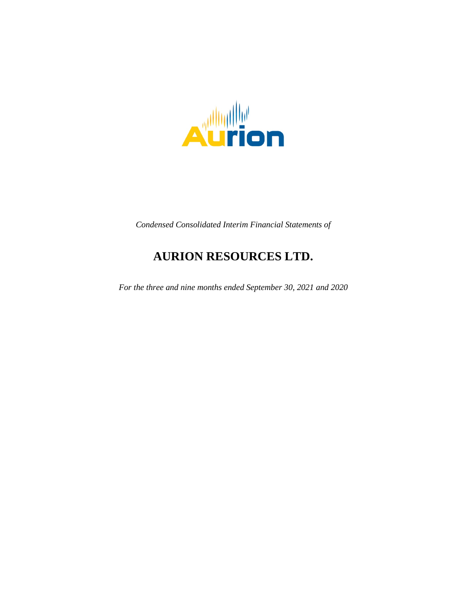

*Condensed Consolidated Interim Financial Statements of*

# **AURION RESOURCES LTD.**

*For the three and nine months ended September 30, 2021 and 2020*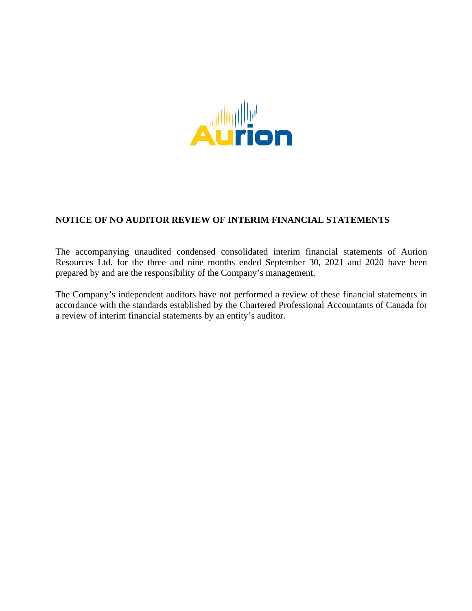

# **NOTICE OF NO AUDITOR REVIEW OF INTERIM FINANCIAL STATEMENTS**

The accompanying unaudited condensed consolidated interim financial statements of Aurion Resources Ltd. for the three and nine months ended September 30, 2021 and 2020 have been prepared by and are the responsibility of the Company's management.

The Company's independent auditors have not performed a review of these financial statements in accordance with the standards established by the Chartered Professional Accountants of Canada for a review of interim financial statements by an entity's auditor.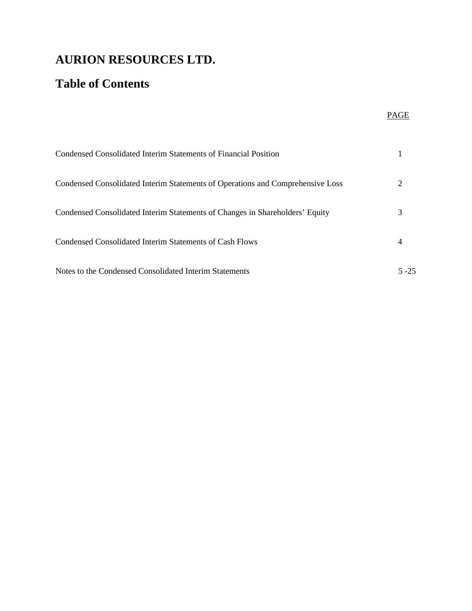# **Table of Contents**

|                                                                                | PAGE     |
|--------------------------------------------------------------------------------|----------|
| Condensed Consolidated Interim Statements of Financial Position                |          |
| Condensed Consolidated Interim Statements of Operations and Comprehensive Loss | 2        |
| Condensed Consolidated Interim Statements of Changes in Shareholders' Equity   | 3        |
| Condensed Consolidated Interim Statements of Cash Flows                        | 4        |
| Notes to the Condensed Consolidated Interim Statements                         | $5 - 25$ |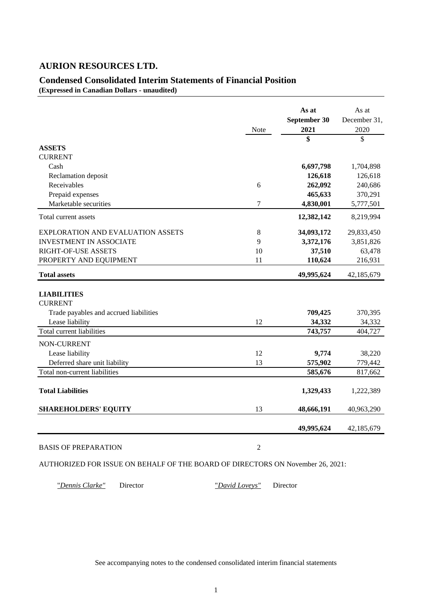# **Condensed Consolidated Interim Statements of Financial Position**

**(Expressed in Canadian Dollars - unaudited)**

|                                          | Note           | As at<br>September 30<br>2021 | As at<br>December 31,<br>2020 |
|------------------------------------------|----------------|-------------------------------|-------------------------------|
| <b>ASSETS</b>                            |                | \$                            | \$                            |
| <b>CURRENT</b>                           |                |                               |                               |
| Cash                                     |                | 6,697,798                     | 1,704,898                     |
| Reclamation deposit                      |                | 126,618                       | 126,618                       |
| Receivables                              | 6              | 262,092                       | 240,686                       |
| Prepaid expenses                         |                | 465,633                       | 370,291                       |
| Marketable securities                    | 7              | 4,830,001                     | 5,777,501                     |
| Total current assets                     |                | 12,382,142                    | 8,219,994                     |
| <b>EXPLORATION AND EVALUATION ASSETS</b> | 8              | 34,093,172                    | 29,833,450                    |
| <b>INVESTMENT IN ASSOCIATE</b>           | 9              | 3,372,176                     | 3,851,826                     |
| RIGHT-OF-USE ASSETS                      | 10             | 37,510                        | 63,478                        |
| PROPERTY AND EQUIPMENT                   | 11             | 110,624                       | 216,931                       |
| <b>Total assets</b>                      |                | 49,995,624                    | 42,185,679                    |
| <b>LIABILITIES</b><br><b>CURRENT</b>     |                |                               |                               |
| Trade payables and accrued liabilities   |                | 709,425                       | 370,395                       |
| Lease liability                          | 12             | 34,332                        | 34,332                        |
| Total current liabilities                |                | 743,757                       | 404,727                       |
| NON-CURRENT                              |                |                               |                               |
| Lease liability                          | 12             | 9,774                         | 38,220                        |
| Deferred share unit liability            | 13             | 575,902                       | 779,442                       |
| Total non-current liabilities            |                | 585,676                       | 817,662                       |
| <b>Total Liabilities</b>                 |                | 1,329,433                     | 1,222,389                     |
| <b>SHAREHOLDERS' EQUITY</b>              | 13             | 48,666,191                    | 40,963,290                    |
|                                          |                | 49,995,624                    | 42,185,679                    |
| <b>BASIS OF PREPARATION</b>              | $\overline{2}$ |                               |                               |

AUTHORIZED FOR ISSUE ON BEHALF OF THE BOARD OF DIRECTORS ON November 26, 2021:

"*Dennis Clarke"* Director "*David Loveys"* Director

See accompanying notes to the condensed consolidated interim financial statements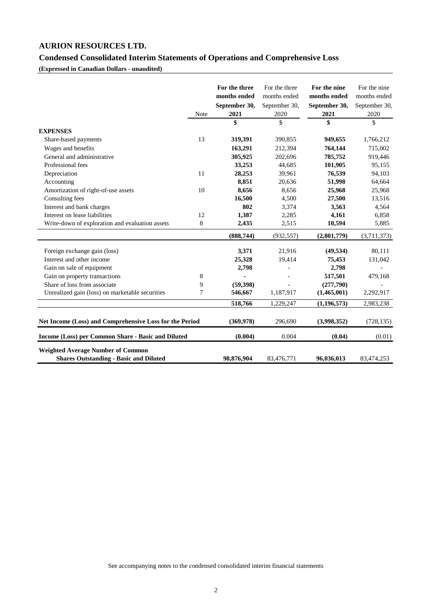# **Condensed Consolidated Interim Statements of Operations and Comprehensive Loss**

**(Expressed in Canadian Dollars - unaudited)**

|                                                                                           |                  | For the three<br>months ended<br>September 30, | For the three<br>months ended<br>September 30, | For the nine<br>months ended<br>September 30, | For the nine<br>months ended<br>September 30, |
|-------------------------------------------------------------------------------------------|------------------|------------------------------------------------|------------------------------------------------|-----------------------------------------------|-----------------------------------------------|
|                                                                                           | Note             | 2021                                           | 2020                                           | 2021                                          | 2020                                          |
|                                                                                           |                  | \$                                             | \$                                             | \$                                            | \$                                            |
| <b>EXPENSES</b>                                                                           |                  |                                                |                                                |                                               |                                               |
| Share-based payments                                                                      | 13               | 319,391                                        | 390,855                                        | 949,655                                       | 1,766,212                                     |
| Wages and benefits                                                                        |                  | 163,291                                        | 212,394                                        | 764,144                                       | 715,002                                       |
| General and administrative                                                                |                  | 305,925                                        | 202,696                                        | 785,752                                       | 919,446                                       |
| Professional fees                                                                         |                  | 33,253                                         | 44,685                                         | 101,905                                       | 95,155                                        |
| Depreciation                                                                              | 11               | 28,253                                         | 39,961                                         | 76,539                                        | 94,103                                        |
| Accounting                                                                                |                  | 8,851                                          | 20,636                                         | 51,998                                        | 64,664                                        |
| Amortization of right-of-use assets                                                       | 10               | 8,656                                          | 8,656                                          | 25,968                                        | 25,968                                        |
| Consulting fees                                                                           |                  | 16,500                                         | 4,500                                          | 27,500                                        | 13,516                                        |
| Interest and bank charges                                                                 |                  | 802                                            | 3,374                                          | 3,563                                         | 4,564                                         |
| Interest on lease liabilities                                                             | 12               | 1,387                                          | 2,285                                          | 4,161                                         | 6,858                                         |
| Write-down of exploration and evaluation assets                                           | $\,8$            | 2,435                                          | 2,515                                          | 10,594                                        | 5,885                                         |
|                                                                                           |                  | (888, 744)                                     | (932, 557)                                     | (2,801,779)                                   | (3,711,373)                                   |
| Foreign exchange gain (loss)                                                              |                  | 3,371                                          | 21,916                                         | (49, 534)                                     | 80,111                                        |
| Interest and other income                                                                 |                  | 25,328                                         | 19,414                                         | 75,453                                        | 131,042                                       |
| Gain on sale of equipment                                                                 |                  | 2,798                                          |                                                | 2,798                                         |                                               |
| Gain on property transactions                                                             | 8                |                                                |                                                | 517,501                                       | 479,168                                       |
| Share of loss from associate                                                              | 9                | (59, 398)                                      |                                                | (277,790)                                     |                                               |
| Unrealized gain (loss) on marketable securities                                           | $\boldsymbol{7}$ | 546,667                                        | 1,187,917                                      | (1,465,001)                                   | 2,292,917                                     |
|                                                                                           |                  | 518,766                                        | 1,229,247                                      | (1, 196, 573)                                 | 2,983,238                                     |
| Net Income (Loss) and Comprehensive Loss for the Period                                   |                  | (369,978)                                      | 296,690                                        | (3,998,352)                                   | (728, 135)                                    |
| Income (Loss) per Common Share - Basic and Diluted                                        |                  | (0.004)                                        | 0.004                                          | (0.04)                                        | (0.01)                                        |
| <b>Weighted Average Number of Common</b><br><b>Shares Outstanding - Basic and Diluted</b> |                  | 98,876,904                                     | 83,476,771                                     | 96,036,013                                    | 83,474,253                                    |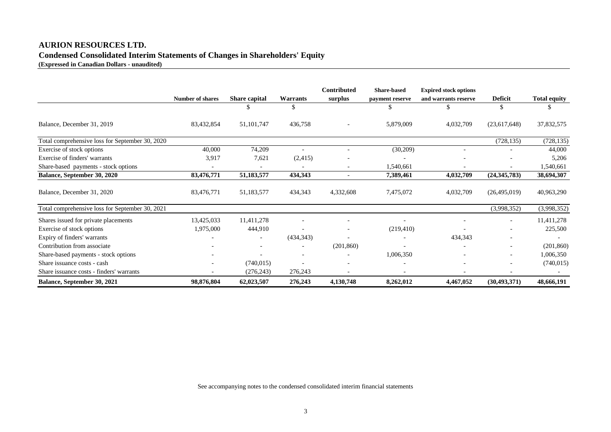# **AURION RESOURCES LTD. Condensed Consolidated Interim Statements of Changes in Shareholders' Equity (Expressed in Canadian Dollars - unaudited)**

|                                                 |                         |                          |                          | Contributed | <b>Share-based</b> | <b>Expired stock options</b> |                |                     |
|-------------------------------------------------|-------------------------|--------------------------|--------------------------|-------------|--------------------|------------------------------|----------------|---------------------|
|                                                 | <b>Number of shares</b> | Share capital            | <b>Warrants</b>          | surplus     | payment reserve    | and warrants reserve         | <b>Deficit</b> | <b>Total equity</b> |
|                                                 |                         |                          | \$                       |             | \$                 | \$.                          | \$.            |                     |
| Balance, December 31, 2019                      | 83,432,854              | 51, 101, 747             | 436,758                  |             | 5,879,009          | 4,032,709                    | (23,617,648)   | 37,832,575          |
| Total comprehensive loss for September 30, 2020 |                         |                          |                          |             |                    |                              | (728, 135)     | (728, 135)          |
| Exercise of stock options                       | 40,000                  | 74,209                   |                          |             | (30,209)           |                              |                | 44,000              |
| Exercise of finders' warrants                   | 3,917                   | 7,621                    | (2,415)                  |             |                    |                              |                | 5,206               |
| Share-based payments - stock options            |                         |                          |                          |             | 1,540,661          |                              |                | 1,540,661           |
| Balance, September 30, 2020                     | 83,476,771              | 51,183,577               | 434,343                  |             | 7,389,461          | 4,032,709                    | (24, 345, 783) | 38,694,307          |
| Balance, December 31, 2020                      | 83,476,771              | 51,183,577               | 434,343                  | 4,332,608   | 7,475,072          | 4,032,709                    | (26,495,019)   | 40,963,290          |
| Total comprehensive loss for September 30, 2021 |                         |                          |                          |             |                    |                              | (3,998,352)    | (3,998,352)         |
| Shares issued for private placements            | 13,425,033              | 11,411,278               |                          |             |                    |                              | -              | 11,411,278          |
| Exercise of stock options                       | 1,975,000               | 444,910                  |                          |             | (219, 410)         |                              |                | 225,500             |
| Expiry of finders' warrants                     |                         | $\overline{\phantom{a}}$ | (434,343)                |             |                    | 434,343                      |                |                     |
| Contribution from associate                     |                         | -                        | $\overline{\phantom{a}}$ | (201, 860)  |                    |                              | -              | (201, 860)          |
| Share-based payments - stock options            |                         |                          |                          |             | 1,006,350          |                              | -              | 1,006,350           |
| Share issuance costs - cash                     |                         | (740, 015)               |                          |             |                    |                              | ۰              | (740, 015)          |
| Share issuance costs - finders' warrants        |                         | (276, 243)               | 276,243                  |             |                    |                              |                |                     |
| Balance, September 30, 2021                     | 98,876,804              | 62,023,507               | 276,243                  | 4,130,748   | 8,262,012          | 4,467,052                    | (30, 493, 371) | 48,666,191          |

See accompanying notes to the condensed consolidated interim financial statements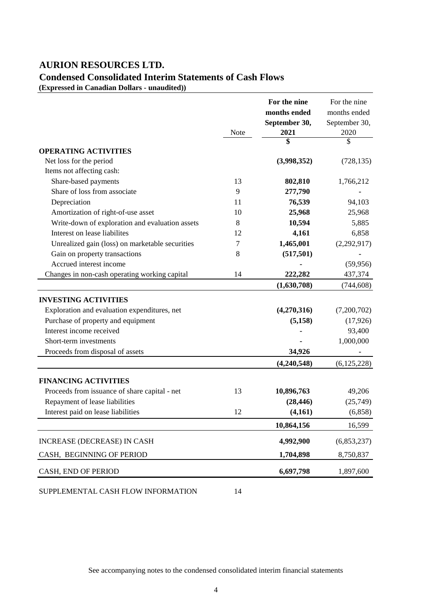# **Condensed Consolidated Interim Statements of Cash Flows**

**(Expressed in Canadian Dollars - unaudited))**

|                                                 |      | For the nine  | For the nine  |
|-------------------------------------------------|------|---------------|---------------|
|                                                 |      | months ended  | months ended  |
|                                                 |      | September 30, | September 30, |
|                                                 | Note | 2021          | 2020          |
|                                                 |      | \$            | \$            |
| <b>OPERATING ACTIVITIES</b>                     |      |               |               |
| Net loss for the period                         |      | (3,998,352)   | (728, 135)    |
| Items not affecting cash:                       |      |               |               |
| Share-based payments                            | 13   | 802,810       | 1,766,212     |
| Share of loss from associate                    | 9    | 277,790       |               |
| Depreciation                                    | 11   | 76,539        | 94,103        |
| Amortization of right-of-use asset              | 10   | 25,968        | 25,968        |
| Write-down of exploration and evaluation assets | 8    | 10,594        | 5,885         |
| Interest on lease liabilites                    | 12   | 4,161         | 6,858         |
| Unrealized gain (loss) on marketable securities | 7    | 1,465,001     | (2,292,917)   |
| Gain on property transactions                   | 8    | (517, 501)    |               |
| Accrued interest income                         |      |               | (59, 956)     |
| Changes in non-cash operating working capital   | 14   | 222,282       | 437,374       |
|                                                 |      | (1,630,708)   | (744, 608)    |
| <b>INVESTING ACTIVITIES</b>                     |      |               |               |
| Exploration and evaluation expenditures, net    |      | (4,270,316)   | (7,200,702)   |
| Purchase of property and equipment              |      | (5, 158)      | (17, 926)     |
| Interest income received                        |      |               | 93,400        |
| Short-term investments                          |      |               | 1,000,000     |
| Proceeds from disposal of assets                |      | 34,926        |               |
|                                                 |      | (4,240,548)   | (6, 125, 228) |
| <b>FINANCING ACTIVITIES</b>                     |      |               |               |
| Proceeds from issuance of share capital - net   | 13   | 10,896,763    | 49,206        |
| Repayment of lease liabilities                  |      | (28, 446)     | (25,749)      |
| Interest paid on lease liabilities              | 12   | (4,161)       | (6, 858)      |
|                                                 |      |               |               |
|                                                 |      | 10,864,156    | 16,599        |
| INCREASE (DECREASE) IN CASH                     |      | 4,992,900     | (6,853,237)   |
| CASH, BEGINNING OF PERIOD                       |      | 1,704,898     | 8,750,837     |
| CASH, END OF PERIOD                             |      | 6,697,798     | 1,897,600     |

SUPPLEMENTAL CASH FLOW INFORMATION 14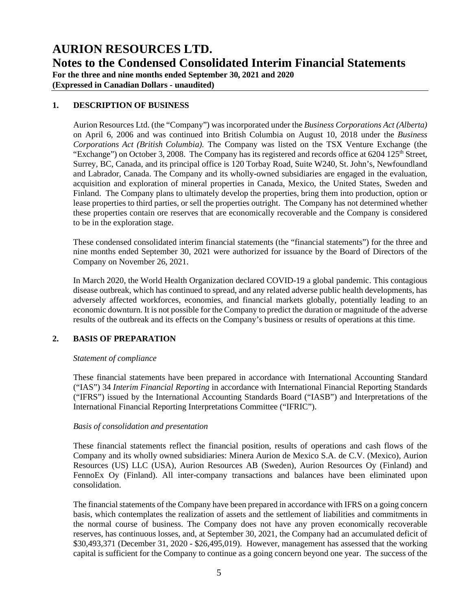**AURION RESOURCES LTD. Notes to the Condensed Consolidated Interim Financial Statements For the three and nine months ended September 30, 2021 and 2020**

**(Expressed in Canadian Dollars - unaudited)**

### **1. DESCRIPTION OF BUSINESS**

Aurion Resources Ltd. (the "Company") was incorporated under the *Business Corporations Act (Alberta)* on April 6, 2006 and was continued into British Columbia on August 10, 2018 under the *Business Corporations Act (British Columbia).* The Company was listed on the TSX Venture Exchange (the "Exchange") on October 3, 2008. The Company has its registered and records office at  $6204\ 125$ <sup>th</sup> Street, Surrey, BC, Canada, and its principal office is 120 Torbay Road, Suite W240, St. John's, Newfoundland and Labrador, Canada. The Company and its wholly-owned subsidiaries are engaged in the evaluation, acquisition and exploration of mineral properties in Canada, Mexico, the United States, Sweden and Finland. The Company plans to ultimately develop the properties, bring them into production, option or lease properties to third parties, or sell the properties outright. The Company has not determined whether these properties contain ore reserves that are economically recoverable and the Company is considered to be in the exploration stage.

These condensed consolidated interim financial statements (the "financial statements") for the three and nine months ended September 30, 2021 were authorized for issuance by the Board of Directors of the Company on November 26, 2021.

In March 2020, the World Health Organization declared COVID-19 a global pandemic. This contagious disease outbreak, which has continued to spread, and any related adverse public health developments, has adversely affected workforces, economies, and financial markets globally, potentially leading to an economic downturn. It is not possible for the Company to predict the duration or magnitude of the adverse results of the outbreak and its effects on the Company's business or results of operations at this time.

### **2. BASIS OF PREPARATION**

#### *Statement of compliance*

These financial statements have been prepared in accordance with International Accounting Standard ("IAS") 34 *Interim Financial Reporting* in accordance with International Financial Reporting Standards ("IFRS") issued by the International Accounting Standards Board ("IASB") and Interpretations of the International Financial Reporting Interpretations Committee ("IFRIC").

#### *Basis of consolidation and presentation*

These financial statements reflect the financial position, results of operations and cash flows of the Company and its wholly owned subsidiaries: Minera Aurion de Mexico S.A. de C.V. (Mexico), Aurion Resources (US) LLC (USA), Aurion Resources AB (Sweden), Aurion Resources Oy (Finland) and FennoEx Oy (Finland). All inter-company transactions and balances have been eliminated upon consolidation.

The financial statements of the Company have been prepared in accordance with IFRS on a going concern basis, which contemplates the realization of assets and the settlement of liabilities and commitments in the normal course of business. The Company does not have any proven economically recoverable reserves, has continuous losses, and, at September 30, 2021, the Company had an accumulated deficit of \$30,493,371 (December 31, 2020 - \$26,495,019). However, management has assessed that the working capital is sufficient for the Company to continue as a going concern beyond one year. The success of the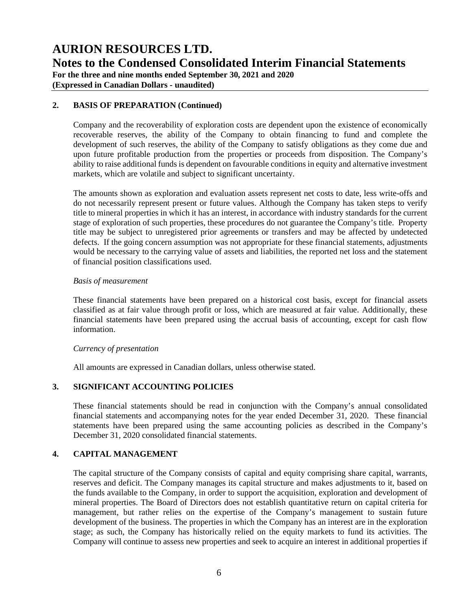**AURION RESOURCES LTD. Notes to the Condensed Consolidated Interim Financial Statements For the three and nine months ended September 30, 2021 and 2020**

**(Expressed in Canadian Dollars - unaudited)**

### **2. BASIS OF PREPARATION (Continued)**

Company and the recoverability of exploration costs are dependent upon the existence of economically recoverable reserves, the ability of the Company to obtain financing to fund and complete the development of such reserves, the ability of the Company to satisfy obligations as they come due and upon future profitable production from the properties or proceeds from disposition. The Company's ability to raise additional funds is dependent on favourable conditions in equity and alternative investment markets, which are volatile and subject to significant uncertainty.

The amounts shown as exploration and evaluation assets represent net costs to date, less write-offs and do not necessarily represent present or future values. Although the Company has taken steps to verify title to mineral properties in which it has an interest, in accordance with industry standards for the current stage of exploration of such properties, these procedures do not guarantee the Company's title. Property title may be subject to unregistered prior agreements or transfers and may be affected by undetected defects. If the going concern assumption was not appropriate for these financial statements, adjustments would be necessary to the carrying value of assets and liabilities, the reported net loss and the statement of financial position classifications used.

### *Basis of measurement*

These financial statements have been prepared on a historical cost basis, except for financial assets classified as at fair value through profit or loss, which are measured at fair value. Additionally, these financial statements have been prepared using the accrual basis of accounting, except for cash flow information.

### *Currency of presentation*

All amounts are expressed in Canadian dollars, unless otherwise stated.

### **3. SIGNIFICANT ACCOUNTING POLICIES**

These financial statements should be read in conjunction with the Company's annual consolidated financial statements and accompanying notes for the year ended December 31, 2020. These financial statements have been prepared using the same accounting policies as described in the Company's December 31, 2020 consolidated financial statements.

# **4. CAPITAL MANAGEMENT**

The capital structure of the Company consists of capital and equity comprising share capital, warrants, reserves and deficit. The Company manages its capital structure and makes adjustments to it, based on the funds available to the Company, in order to support the acquisition, exploration and development of mineral properties. The Board of Directors does not establish quantitative return on capital criteria for management, but rather relies on the expertise of the Company's management to sustain future development of the business. The properties in which the Company has an interest are in the exploration stage; as such, the Company has historically relied on the equity markets to fund its activities. The Company will continue to assess new properties and seek to acquire an interest in additional properties if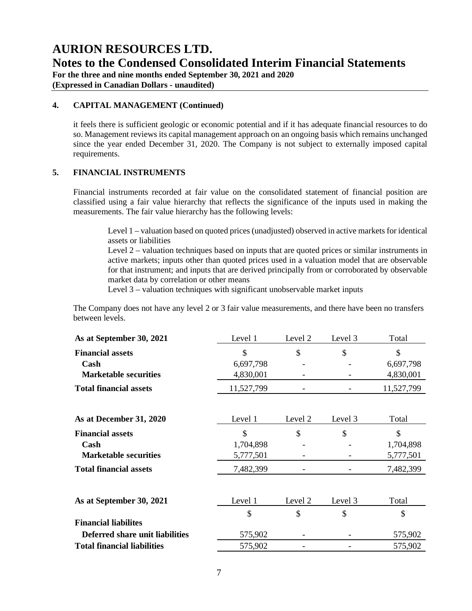**Notes to the Condensed Consolidated Interim Financial Statements**

**For the three and nine months ended September 30, 2021 and 2020**

**(Expressed in Canadian Dollars - unaudited)**

### **4. CAPITAL MANAGEMENT (Continued)**

it feels there is sufficient geologic or economic potential and if it has adequate financial resources to do so. Management reviews its capital management approach on an ongoing basis which remains unchanged since the year ended December 31, 2020. The Company is not subject to externally imposed capital requirements.

## **5. FINANCIAL INSTRUMENTS**

Financial instruments recorded at fair value on the consolidated statement of financial position are classified using a fair value hierarchy that reflects the significance of the inputs used in making the measurements. The fair value hierarchy has the following levels:

Level 1 – valuation based on quoted prices (unadjusted) observed in active markets for identical assets or liabilities

Level 2 – valuation techniques based on inputs that are quoted prices or similar instruments in active markets; inputs other than quoted prices used in a valuation model that are observable for that instrument; and inputs that are derived principally from or corroborated by observable market data by correlation or other means

Level 3 – valuation techniques with significant unobservable market inputs

The Company does not have any level 2 or 3 fair value measurements, and there have been no transfers between levels.

| As at September 30, 2021           | Level 1    | Level 2 | Level 3 | Total      |
|------------------------------------|------------|---------|---------|------------|
| <b>Financial assets</b>            | \$         | \$      | \$      | \$         |
| Cash                               | 6,697,798  |         |         | 6,697,798  |
| <b>Marketable securities</b>       | 4,830,001  |         |         | 4,830,001  |
| <b>Total financial assets</b>      | 11,527,799 |         |         | 11,527,799 |
|                                    |            |         |         |            |
| As at December 31, 2020            | Level 1    | Level 2 | Level 3 | Total      |
| <b>Financial assets</b>            | \$         | \$      | \$      | \$         |
| Cash                               | 1,704,898  |         |         | 1,704,898  |
| <b>Marketable securities</b>       | 5,777,501  |         |         | 5,777,501  |
| <b>Total financial assets</b>      | 7,482,399  |         |         | 7,482,399  |
|                                    |            |         |         |            |
| As at September 30, 2021           | Level 1    | Level 2 | Level 3 | Total      |
|                                    | \$         | \$      | \$      | \$         |
| <b>Financial liabilites</b>        |            |         |         |            |
| Deferred share unit liabilities    | 575,902    |         |         | 575,902    |
| <b>Total financial liabilities</b> | 575,902    |         |         | 575,902    |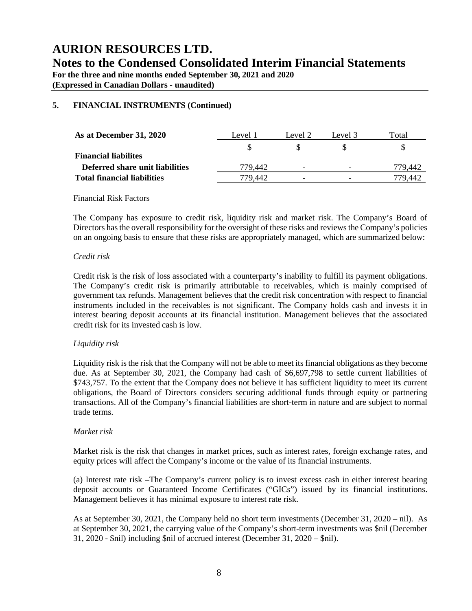**For the three and nine months ended September 30, 2021 and 2020**

**(Expressed in Canadian Dollars - unaudited)**

# **5. FINANCIAL INSTRUMENTS (Continued)**

| As at December 31, 2020            | Level 1 | Level 2                  | Level 3                  | Total   |
|------------------------------------|---------|--------------------------|--------------------------|---------|
|                                    |         |                          |                          |         |
| <b>Financial liabilites</b>        |         |                          |                          |         |
| Deferred share unit liabilities    | 779.442 | $\overline{\phantom{0}}$ | $\overline{\phantom{0}}$ | 779.442 |
| <b>Total financial liabilities</b> | 779.442 | $\overline{\phantom{0}}$ | $\overline{\phantom{0}}$ | 779 442 |

### Financial Risk Factors

The Company has exposure to credit risk, liquidity risk and market risk. The Company's Board of Directors has the overall responsibility for the oversight of these risks and reviews the Company's policies on an ongoing basis to ensure that these risks are appropriately managed, which are summarized below:

### *Credit risk*

Credit risk is the risk of loss associated with a counterparty's inability to fulfill its payment obligations. The Company's credit risk is primarily attributable to receivables, which is mainly comprised of government tax refunds. Management believes that the credit risk concentration with respect to financial instruments included in the receivables is not significant. The Company holds cash and invests it in interest bearing deposit accounts at its financial institution. Management believes that the associated credit risk for its invested cash is low.

# *Liquidity risk*

Liquidity risk is the risk that the Company will not be able to meet its financial obligations as they become due. As at September 30, 2021, the Company had cash of \$6,697,798 to settle current liabilities of \$743,757. To the extent that the Company does not believe it has sufficient liquidity to meet its current obligations, the Board of Directors considers securing additional funds through equity or partnering transactions. All of the Company's financial liabilities are short-term in nature and are subject to normal trade terms.

### *Market risk*

Market risk is the risk that changes in market prices, such as interest rates, foreign exchange rates, and equity prices will affect the Company's income or the value of its financial instruments.

(a) Interest rate risk –The Company's current policy is to invest excess cash in either interest bearing deposit accounts or Guaranteed Income Certificates ("GICs") issued by its financial institutions. Management believes it has minimal exposure to interest rate risk.

As at September 30, 2021, the Company held no short term investments (December 31, 2020 – nil). As at September 30, 2021, the carrying value of the Company's short-term investments was \$nil (December 31, 2020 - \$nil) including \$nil of accrued interest (December 31, 2020 – \$nil).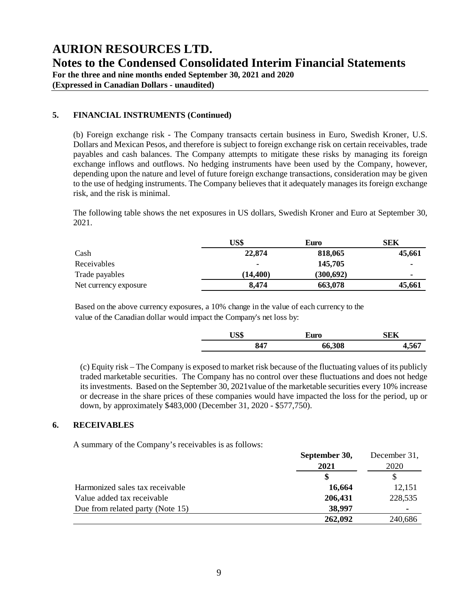**For the three and nine months ended September 30, 2021 and 2020**

**(Expressed in Canadian Dollars - unaudited)**

# **5. FINANCIAL INSTRUMENTS (Continued)**

(b) Foreign exchange risk - The Company transacts certain business in Euro, Swedish Kroner, U.S. Dollars and Mexican Pesos, and therefore is subject to foreign exchange risk on certain receivables, trade payables and cash balances. The Company attempts to mitigate these risks by managing its foreign exchange inflows and outflows. No hedging instruments have been used by the Company, however, depending upon the nature and level of future foreign exchange transactions, consideration may be given to the use of hedging instruments. The Company believes that it adequately manages its foreign exchange risk, and the risk is minimal.

The following table shows the net exposures in US dollars, Swedish Kroner and Euro at September 30, 2021.

|                       | US\$     | Euro       | SEK            |
|-----------------------|----------|------------|----------------|
| Cash                  | 22,874   | 818,065    | 45,661         |
| Receivables           |          | 145,705    |                |
| Trade payables        | (14.400) | (300, 692) | $\blacksquare$ |
| Net currency exposure | 8,474    | 663,078    | 45,661         |

Based on the above currency exposures, a 10% change in the value of each currency to the value of the Canadian dollar would impact the Company's net loss by:

| ∵τ⊂ Φ<br>Euro |        |  |
|---------------|--------|--|
| 847           | 66,308 |  |

(c) Equity risk – The Company is exposed to market risk because of the fluctuating values of its publicly traded marketable securities. The Company has no control over these fluctuations and does not hedge its investments. Based on the September 30, 2021value of the marketable securities every 10% increase or decrease in the share prices of these companies would have impacted the loss for the period, up or down, by approximately \$483,000 (December 31, 2020 - \$577,750).

## **6. RECEIVABLES**

A summary of the Company's receivables is as follows:

|                                  | September 30, | December 31,   |
|----------------------------------|---------------|----------------|
|                                  | 2021          | 2020           |
|                                  | S             |                |
| Harmonized sales tax receivable  | 16,664        | 12,151         |
| Value added tax receivable       | 206,431       | 228,535        |
| Due from related party (Note 15) | 38,997        | $\blacksquare$ |
|                                  | 262,092       | 240,686        |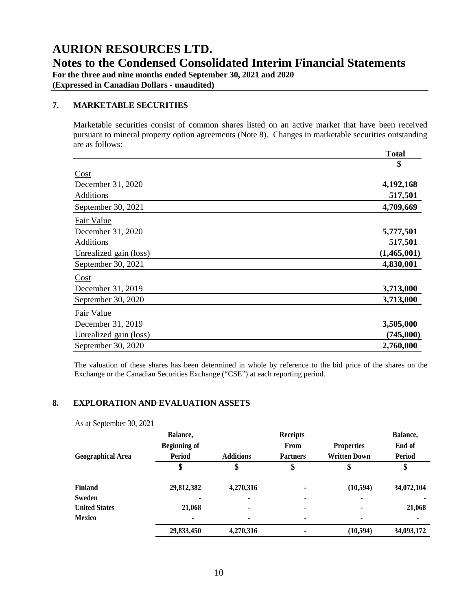**For the three and nine months ended September 30, 2021 and 2020**

**(Expressed in Canadian Dollars - unaudited)**

### **7. MARKETABLE SECURITIES**

Marketable securities consist of common shares listed on an active market that have been received pursuant to mineral property option agreements (Note 8). Changes in marketable securities outstanding are as follows:  **Total** 

|                        | Total       |
|------------------------|-------------|
|                        | \$          |
| Cost                   |             |
| December 31, 2020      | 4,192,168   |
| Additions              | 517,501     |
| September 30, 2021     | 4,709,669   |
| Fair Value             |             |
| December 31, 2020      | 5,777,501   |
| Additions              | 517,501     |
| Unrealized gain (loss) | (1,465,001) |
| September 30, 2021     | 4,830,001   |
| Cost                   |             |
| December 31, 2019      | 3,713,000   |
| September 30, 2020     | 3,713,000   |
| Fair Value             |             |
| December 31, 2019      | 3,505,000   |
| Unrealized gain (loss) | (745,000)   |
| September 30, 2020     | 2,760,000   |

The valuation of these shares has been determined in whole by reference to the bid price of the shares on the Exchange or the Canadian Securities Exchange ("CSE") at each reporting period.

### **8. EXPLORATION AND EVALUATION ASSETS**

|                          | Balance,                          |           | <b>Receipts</b> |                     | Balance,      |
|--------------------------|-----------------------------------|-----------|-----------------|---------------------|---------------|
|                          | <b>Beginning of</b>               |           | From            | <b>Properties</b>   | End of        |
| <b>Geographical Area</b> | <b>Period</b><br><b>Additions</b> |           | <b>Partners</b> | <b>Written Down</b> | <b>Period</b> |
|                          | \$                                | \$        | \$              | Φ                   |               |
| <b>Finland</b>           | 29,812,382                        | 4,270,316 |                 | (10, 594)           | 34,072,104    |
| Sweden                   | $\blacksquare$                    |           | ۰               |                     |               |
| <b>United States</b>     | 21,068                            | ٠         | ۰               |                     | 21,068        |
| <b>Mexico</b>            | ۰                                 | ٠         | ۰               |                     |               |
|                          | 29,833,450                        | 4,270,316 |                 | (10, 594)           | 34,093,172    |

As at September 30, 2021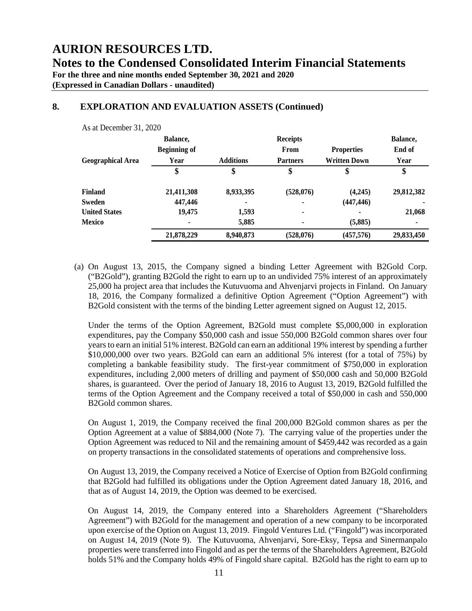**For the three and nine months ended September 30, 2021 and 2020**

**(Expressed in Canadian Dollars - unaudited)**

 $A = \pm D$  constructed  $21, 2020$ 

# **8. EXPLORATION AND EVALUATION ASSETS (Continued)**

| As at December 31, 2020  |                     |                  |                 |                     |            |
|--------------------------|---------------------|------------------|-----------------|---------------------|------------|
|                          | Balance,            |                  | <b>Receipts</b> |                     | Balance,   |
|                          | <b>Beginning of</b> |                  | From            | <b>Properties</b>   | End of     |
| <b>Geographical Area</b> | Year                | <b>Additions</b> | <b>Partners</b> | <b>Written Down</b> | Year       |
|                          | \$                  | \$               | \$              | \$                  | \$         |
| Finland                  | 21,411,308          | 8,933,395        | (528, 076)      | (4,245)             | 29,812,382 |
| Sweden                   | 447,446             |                  | ۰               | (447, 446)          |            |
| <b>United States</b>     | 19,475              | 1,593            | $\blacksquare$  |                     | 21,068     |
| <b>Mexico</b>            |                     | 5,885            |                 | (5,885)             |            |
|                          | 21,878,229          | 8,940,873        | (528,076)       | (457,576)           | 29,833,450 |

(a) On August 13, 2015, the Company signed a binding Letter Agreement with B2Gold Corp. ("B2Gold"), granting B2Gold the right to earn up to an undivided 75% interest of an approximately 25,000 ha project area that includes the Kutuvuoma and Ahvenjarvi projects in Finland. On January 18, 2016, the Company formalized a definitive Option Agreement ("Option Agreement") with B2Gold consistent with the terms of the binding Letter agreement signed on August 12, 2015.

Under the terms of the Option Agreement, B2Gold must complete \$5,000,000 in exploration expenditures, pay the Company \$50,000 cash and issue 550,000 B2Gold common shares over four years to earn an initial 51% interest. B2Gold can earn an additional 19% interest by spending a further \$10,000,000 over two years. B2Gold can earn an additional 5% interest (for a total of 75%) by completing a bankable feasibility study. The first-year commitment of \$750,000 in exploration expenditures, including 2,000 meters of drilling and payment of \$50,000 cash and 50,000 B2Gold shares, is guaranteed. Over the period of January 18, 2016 to August 13, 2019, B2Gold fulfilled the terms of the Option Agreement and the Company received a total of \$50,000 in cash and 550,000 B2Gold common shares.

On August 1, 2019, the Company received the final 200,000 B2Gold common shares as per the Option Agreement at a value of \$884,000 (Note 7). The carrying value of the properties under the Option Agreement was reduced to Nil and the remaining amount of \$459,442 was recorded as a gain on property transactions in the consolidated statements of operations and comprehensive loss.

On August 13, 2019, the Company received a Notice of Exercise of Option from B2Gold confirming that B2Gold had fulfilled its obligations under the Option Agreement dated January 18, 2016, and that as of August 14, 2019, the Option was deemed to be exercised.

On August 14, 2019, the Company entered into a Shareholders Agreement ("Shareholders Agreement") with B2Gold for the management and operation of a new company to be incorporated upon exercise of the Option on August 13, 2019. Fingold Ventures Ltd. ("Fingold") was incorporated on August 14, 2019 (Note 9). The Kutuvuoma, Ahvenjarvi, Sore-Eksy, Tepsa and Sinermanpalo properties were transferred into Fingold and as per the terms of the Shareholders Agreement, B2Gold holds 51% and the Company holds 49% of Fingold share capital. B2Gold has the right to earn up to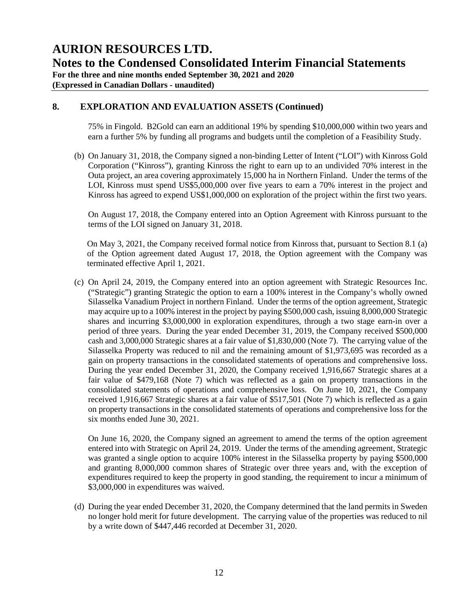**For the three and nine months ended September 30, 2021 and 2020 (Expressed in Canadian Dollars - unaudited)**

## **8. EXPLORATION AND EVALUATION ASSETS (Continued)**

75% in Fingold. B2Gold can earn an additional 19% by spending \$10,000,000 within two years and earn a further 5% by funding all programs and budgets until the completion of a Feasibility Study.

(b) On January 31, 2018, the Company signed a non-binding Letter of Intent ("LOI") with Kinross Gold Corporation ("Kinross"), granting Kinross the right to earn up to an undivided 70% interest in the Outa project, an area covering approximately 15,000 ha in Northern Finland. Under the terms of the LOI, Kinross must spend US\$5,000,000 over five years to earn a 70% interest in the project and Kinross has agreed to expend US\$1,000,000 on exploration of the project within the first two years.

On August 17, 2018, the Company entered into an Option Agreement with Kinross pursuant to the terms of the LOI signed on January 31, 2018.

On May 3, 2021, the Company received formal notice from Kinross that, pursuant to Section 8.1 (a) of the Option agreement dated August 17, 2018, the Option agreement with the Company was terminated effective April 1, 2021.

(c) On April 24, 2019, the Company entered into an option agreement with Strategic Resources Inc. ("Strategic") granting Strategic the option to earn a 100% interest in the Company's wholly owned Silasselka Vanadium Project in northern Finland. Under the terms of the option agreement, Strategic may acquire up to a 100% interest in the project by paying \$500,000 cash, issuing 8,000,000 Strategic shares and incurring \$3,000,000 in exploration expenditures, through a two stage earn-in over a period of three years. During the year ended December 31, 2019, the Company received \$500,000 cash and 3,000,000 Strategic shares at a fair value of \$1,830,000 (Note 7). The carrying value of the Silasselka Property was reduced to nil and the remaining amount of \$1,973,695 was recorded as a gain on property transactions in the consolidated statements of operations and comprehensive loss. During the year ended December 31, 2020, the Company received 1,916,667 Strategic shares at a fair value of \$479,168 (Note 7) which was reflected as a gain on property transactions in the consolidated statements of operations and comprehensive loss. On June 10, 2021, the Company received 1,916,667 Strategic shares at a fair value of \$517,501 (Note 7) which is reflected as a gain on property transactions in the consolidated statements of operations and comprehensive loss for the six months ended June 30, 2021.

On June 16, 2020, the Company signed an agreement to amend the terms of the option agreement entered into with Strategic on April 24, 2019. Under the terms of the amending agreement, Strategic was granted a single option to acquire 100% interest in the Silasselka property by paying \$500,000 and granting 8,000,000 common shares of Strategic over three years and, with the exception of expenditures required to keep the property in good standing, the requirement to incur a minimum of \$3,000,000 in expenditures was waived.

(d) During the year ended December 31, 2020, the Company determined that the land permits in Sweden no longer hold merit for future development. The carrying value of the properties was reduced to nil by a write down of \$447,446 recorded at December 31, 2020.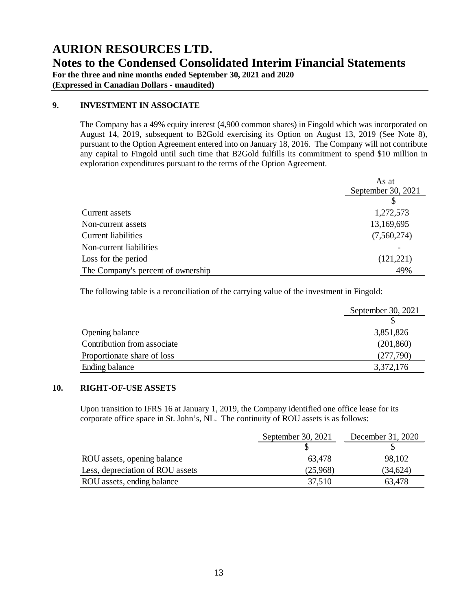**(Expressed in Canadian Dollars - unaudited)**

## **9. INVESTMENT IN ASSOCIATE**

The Company has a 49% equity interest (4,900 common shares) in Fingold which was incorporated on August 14, 2019, subsequent to B2Gold exercising its Option on August 13, 2019 (See Note 8), pursuant to the Option Agreement entered into on January 18, 2016. The Company will not contribute any capital to Fingold until such time that B2Gold fulfills its commitment to spend \$10 million in exploration expenditures pursuant to the terms of the Option Agreement.

|                                    | As at              |
|------------------------------------|--------------------|
|                                    | September 30, 2021 |
|                                    |                    |
| Current assets                     | 1,272,573          |
| Non-current assets                 | 13,169,695         |
| <b>Current liabilities</b>         | (7,560,274)        |
| Non-current liabilities            |                    |
| Loss for the period                | (121, 221)         |
| The Company's percent of ownership | 49%                |

The following table is a reconciliation of the carrying value of the investment in Fingold:

|                             | September 30, 2021 |
|-----------------------------|--------------------|
|                             |                    |
| Opening balance             | 3,851,826          |
| Contribution from associate | (201, 860)         |
| Proportionate share of loss | (277,790)          |
| Ending balance              | 3,372,176          |

# **10. RIGHT-OF-USE ASSETS**

Upon transition to IFRS 16 at January 1, 2019, the Company identified one office lease for its corporate office space in St. John's, NL. The continuity of ROU assets is as follows:

|                                  | September 30, 2021 | December 31, 2020 |
|----------------------------------|--------------------|-------------------|
|                                  |                    |                   |
| ROU assets, opening balance      | 63,478             | 98,102            |
| Less, depreciation of ROU assets | (25,968)           | (34,624)          |
| ROU assets, ending balance       | 37,510             | 63,478            |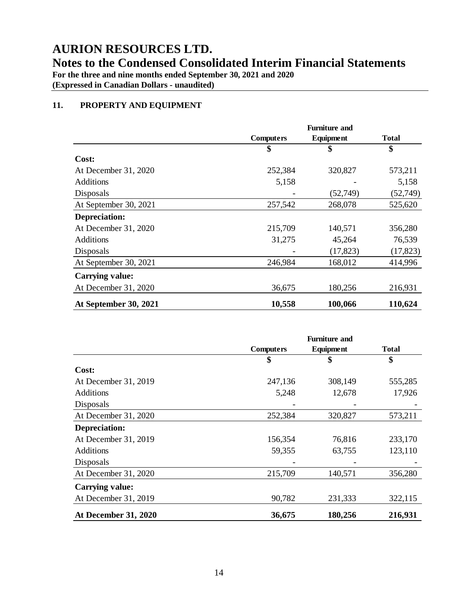**Notes to the Condensed Consolidated Interim Financial Statements**

**For the three and nine months ended September 30, 2021 and 2020**

**(Expressed in Canadian Dollars - unaudited)**

# **11. PROPERTY AND EQUIPMENT**

|                        | <b>Furniture and</b> |           |              |
|------------------------|----------------------|-----------|--------------|
|                        | <b>Computers</b>     | Equipment | <b>Total</b> |
|                        | \$                   | \$        | \$           |
| Cost:                  |                      |           |              |
| At December 31, 2020   | 252,384              | 320,827   | 573,211      |
| Additions              | 5,158                |           | 5,158        |
| Disposals              |                      | (52, 749) | (52, 749)    |
| At September 30, 2021  | 257,542              | 268,078   | 525,620      |
| <b>Depreciation:</b>   |                      |           |              |
| At December 31, 2020   | 215,709              | 140,571   | 356,280      |
| <b>Additions</b>       | 31,275               | 45,264    | 76,539       |
| Disposals              |                      | (17, 823) | (17, 823)    |
| At September 30, 2021  | 246,984              | 168,012   | 414,996      |
| <b>Carrying value:</b> |                      |           |              |
| At December 31, 2020   | 36,675               | 180,256   | 216,931      |
| At September 30, 2021  | 10,558               | 100,066   | 110,624      |

|                             | <b>Furniture and</b>                          |         |         |
|-----------------------------|-----------------------------------------------|---------|---------|
|                             | <b>Computers</b><br>Equipment<br><b>Total</b> |         |         |
|                             | \$                                            | \$      | \$      |
| Cost:                       |                                               |         |         |
| At December 31, 2019        | 247,136                                       | 308,149 | 555,285 |
| <b>Additions</b>            | 5,248                                         | 12,678  | 17,926  |
| Disposals                   |                                               |         |         |
| At December 31, 2020        | 252,384                                       | 320,827 | 573,211 |
| <b>Depreciation:</b>        |                                               |         |         |
| At December 31, 2019        | 156,354                                       | 76,816  | 233,170 |
| Additions                   | 59,355                                        | 63,755  | 123,110 |
| Disposals                   |                                               |         |         |
| At December 31, 2020        | 215,709                                       | 140,571 | 356,280 |
| <b>Carrying value:</b>      |                                               |         |         |
| At December 31, 2019        | 90,782                                        | 231,333 | 322,115 |
| <b>At December 31, 2020</b> | 36,675                                        | 180,256 | 216,931 |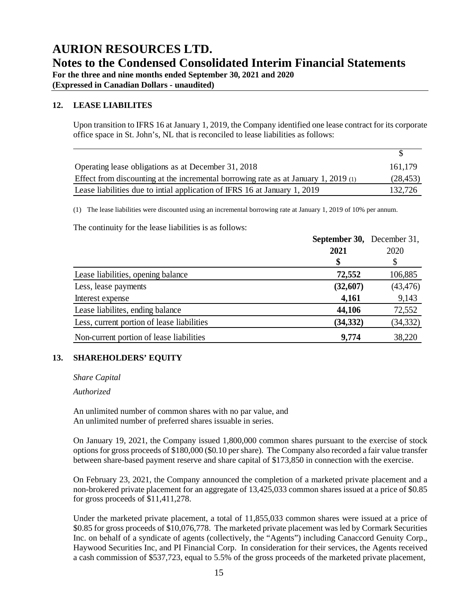**For the three and nine months ended September 30, 2021 and 2020**

**(Expressed in Canadian Dollars - unaudited)**

### **12. LEASE LIABILITES**

Upon transition to IFRS 16 at January 1, 2019, the Company identified one lease contract for its corporate office space in St. John's, NL that is reconciled to lease liabilities as follows:

 $\overline{\mathcal{S}}$ 

| Operating lease obligations as at December 31, 2018                                 | 161.179   |
|-------------------------------------------------------------------------------------|-----------|
| Effect from discounting at the incremental borrowing rate as at January 1, 2019 (1) | (28, 453) |
| Lease liabilities due to initial application of IFRS 16 at January 1, 2019          | 132,726   |

(1) The lease liabilities were discounted using an incremental borrowing rate at January 1, 2019 of 10% per annum.

The continuity for the lease liabilities is as follows:

|                                            | <b>September 30, December 31,</b> |           |
|--------------------------------------------|-----------------------------------|-----------|
|                                            | 2021                              | 2020      |
|                                            |                                   |           |
| Lease liabilities, opening balance         | 72,552                            | 106,885   |
| Less, lease payments                       | (32,607)                          | (43, 476) |
| Interest expense                           | 4,161                             | 9,143     |
| Lease liabilities, ending balance          | 44,106                            | 72,552    |
| Less, current portion of lease liabilities | (34, 332)                         | (34, 332) |
| Non-current portion of lease liabilities   | 9,774                             | 38,220    |

### **13. SHAREHOLDERS' EQUITY**

*Share Capital*

*Authorized*

An unlimited number of common shares with no par value, and An unlimited number of preferred shares issuable in series.

On January 19, 2021, the Company issued 1,800,000 common shares pursuant to the exercise of stock options for gross proceeds of \$180,000 (\$0.10 per share). The Company also recorded a fair value transfer between share-based payment reserve and share capital of \$173,850 in connection with the exercise.

On February 23, 2021, the Company announced the completion of a marketed private placement and a non-brokered private placement for an aggregate of 13,425,033 common shares issued at a price of \$0.85 for gross proceeds of \$11,411,278.

Under the marketed private placement, a total of 11,855,033 common shares were issued at a price of \$0.85 for gross proceeds of \$10,076,778. The marketed private placement was led by Cormark Securities Inc. on behalf of a syndicate of agents (collectively, the "Agents") including Canaccord Genuity Corp., Haywood Securities Inc, and PI Financial Corp. In consideration for their services, the Agents received a cash commission of \$537,723, equal to 5.5% of the gross proceeds of the marketed private placement,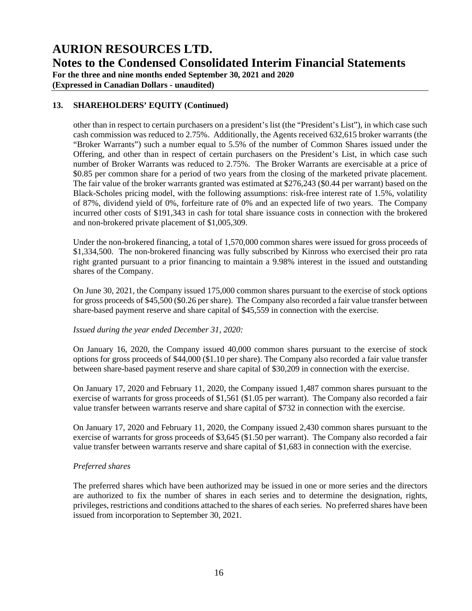**AURION RESOURCES LTD. Notes to the Condensed Consolidated Interim Financial Statements For the three and nine months ended September 30, 2021 and 2020**

**(Expressed in Canadian Dollars - unaudited)**

# **13. SHAREHOLDERS' EQUITY (Continued)**

other than in respect to certain purchasers on a president's list (the "President's List"), in which case such cash commission was reduced to 2.75%. Additionally, the Agents received 632,615 broker warrants (the "Broker Warrants") such a number equal to 5.5% of the number of Common Shares issued under the Offering, and other than in respect of certain purchasers on the President's List, in which case such number of Broker Warrants was reduced to 2.75%. The Broker Warrants are exercisable at a price of \$0.85 per common share for a period of two years from the closing of the marketed private placement. The fair value of the broker warrants granted was estimated at \$276,243 (\$0.44 per warrant) based on the Black-Scholes pricing model, with the following assumptions: risk-free interest rate of 1.5%, volatility of 87%, dividend yield of 0%, forfeiture rate of 0% and an expected life of two years. The Company incurred other costs of \$191,343 in cash for total share issuance costs in connection with the brokered and non-brokered private placement of \$1,005,309.

Under the non-brokered financing, a total of 1,570,000 common shares were issued for gross proceeds of \$1,334,500. The non-brokered financing was fully subscribed by Kinross who exercised their pro rata right granted pursuant to a prior financing to maintain a 9.98% interest in the issued and outstanding shares of the Company.

On June 30, 2021, the Company issued 175,000 common shares pursuant to the exercise of stock options for gross proceeds of \$45,500 (\$0.26 per share). The Company also recorded a fair value transfer between share-based payment reserve and share capital of \$45,559 in connection with the exercise.

### *Issued during the year ended December 31, 2020:*

On January 16, 2020, the Company issued 40,000 common shares pursuant to the exercise of stock options for gross proceeds of \$44,000 (\$1.10 per share). The Company also recorded a fair value transfer between share-based payment reserve and share capital of \$30,209 in connection with the exercise.

On January 17, 2020 and February 11, 2020, the Company issued 1,487 common shares pursuant to the exercise of warrants for gross proceeds of \$1,561 (\$1.05 per warrant). The Company also recorded a fair value transfer between warrants reserve and share capital of \$732 in connection with the exercise.

On January 17, 2020 and February 11, 2020, the Company issued 2,430 common shares pursuant to the exercise of warrants for gross proceeds of \$3,645 (\$1.50 per warrant). The Company also recorded a fair value transfer between warrants reserve and share capital of \$1,683 in connection with the exercise.

### *Preferred shares*

The preferred shares which have been authorized may be issued in one or more series and the directors are authorized to fix the number of shares in each series and to determine the designation, rights, privileges, restrictions and conditions attached to the shares of each series. No preferred shares have been issued from incorporation to September 30, 2021.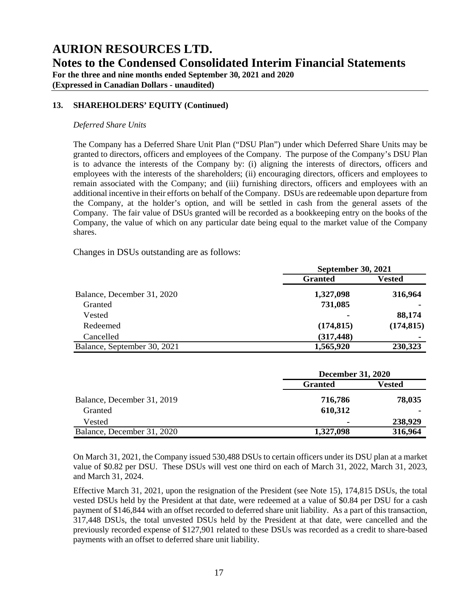**For the three and nine months ended September 30, 2021 and 2020**

**(Expressed in Canadian Dollars - unaudited)**

# **13. SHAREHOLDERS' EQUITY (Continued)**

### *Deferred Share Units*

The Company has a Deferred Share Unit Plan ("DSU Plan") under which Deferred Share Units may be granted to directors, officers and employees of the Company. The purpose of the Company's DSU Plan is to advance the interests of the Company by: (i) aligning the interests of directors, officers and employees with the interests of the shareholders; (ii) encouraging directors, officers and employees to remain associated with the Company; and (iii) furnishing directors, officers and employees with an additional incentive in their efforts on behalf of the Company. DSUs are redeemable upon departure from the Company, at the holder's option, and will be settled in cash from the general assets of the Company. The fair value of DSUs granted will be recorded as a bookkeeping entry on the books of the Company, the value of which on any particular date being equal to the market value of the Company shares.

Changes in DSUs outstanding are as follows:

|                             | <b>September 30, 2021</b> |                |
|-----------------------------|---------------------------|----------------|
|                             | <b>Granted</b>            | Vested         |
| Balance, December 31, 2020  | 1,327,098                 | 316,964        |
| Granted                     | 731,085                   |                |
| Vested                      | $\blacksquare$            | 88,174         |
| Redeemed                    | (174, 815)                | (174, 815)     |
| Cancelled                   | (317, 448)                | $\blacksquare$ |
| Balance, September 30, 2021 | 1,565,920                 | 230,323        |

|                            | <b>December 31, 2020</b> |         |
|----------------------------|--------------------------|---------|
|                            | <b>Granted</b>           | Vested  |
| Balance, December 31, 2019 | 716,786                  | 78,035  |
| Granted                    | 610,312                  | ۰       |
| Vested                     |                          | 238,929 |
| Balance, December 31, 2020 | 1,327,098                | 316,964 |

On March 31, 2021, the Company issued 530,488 DSUs to certain officers under its DSU plan at a market value of \$0.82 per DSU. These DSUs will vest one third on each of March 31, 2022, March 31, 2023, and March 31, 2024.

Effective March 31, 2021, upon the resignation of the President (see Note 15), 174,815 DSUs, the total vested DSUs held by the President at that date, were redeemed at a value of \$0.84 per DSU for a cash payment of \$146,844 with an offset recorded to deferred share unit liability. As a part of this transaction, 317,448 DSUs, the total unvested DSUs held by the President at that date, were cancelled and the previously recorded expense of \$127,901 related to these DSUs was recorded as a credit to share-based payments with an offset to deferred share unit liability.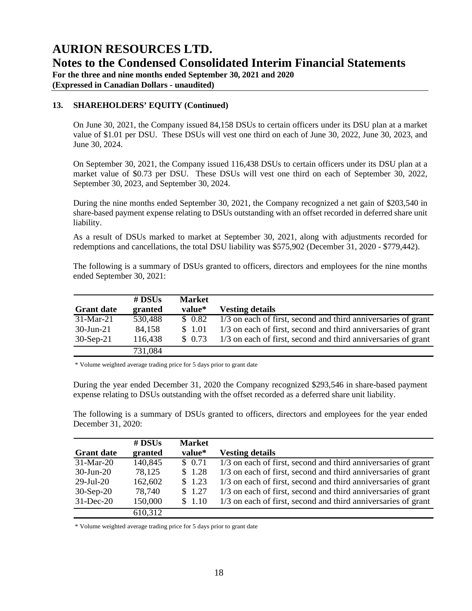**For the three and nine months ended September 30, 2021 and 2020**

**(Expressed in Canadian Dollars - unaudited)**

# **13. SHAREHOLDERS' EQUITY (Continued)**

On June 30, 2021, the Company issued 84,158 DSUs to certain officers under its DSU plan at a market value of \$1.01 per DSU. These DSUs will vest one third on each of June 30, 2022, June 30, 2023, and June 30, 2024.

On September 30, 2021, the Company issued 116,438 DSUs to certain officers under its DSU plan at a market value of \$0.73 per DSU. These DSUs will vest one third on each of September 30, 2022, September 30, 2023, and September 30, 2024.

During the nine months ended September 30, 2021, the Company recognized a net gain of \$203,540 in share-based payment expense relating to DSUs outstanding with an offset recorded in deferred share unit liability.

As a result of DSUs marked to market at September 30, 2021, along with adjustments recorded for redemptions and cancellations, the total DSU liability was \$575,902 (December 31, 2020 - \$779,442).

The following is a summary of DSUs granted to officers, directors and employees for the nine months ended September 30, 2021:

|                   | $#$ DSUs | <b>Market</b> |                                                               |
|-------------------|----------|---------------|---------------------------------------------------------------|
| <b>Grant date</b> | granted  | value*        | <b>Vesting details</b>                                        |
| $31-Mar-21$       | 530,488  | \$0.82        | 1/3 on each of first, second and third anniversaries of grant |
| $30$ -Jun-21      | 84,158   | \$ 1.01       | 1/3 on each of first, second and third anniversaries of grant |
| $30-Sep-21$       | 116,438  | \$0.73        | 1/3 on each of first, second and third anniversaries of grant |
|                   | 731,084  |               |                                                               |

\* Volume weighted average trading price for 5 days prior to grant date

During the year ended December 31, 2020 the Company recognized \$293,546 in share-based payment expense relating to DSUs outstanding with the offset recorded as a deferred share unit liability.

The following is a summary of DSUs granted to officers, directors and employees for the year ended December 31, 2020:

|                   | # $DSUs$ | <b>Market</b> |                                                               |
|-------------------|----------|---------------|---------------------------------------------------------------|
| <b>Grant date</b> | granted  | value*        | <b>Vesting details</b>                                        |
| $31-Mar-20$       | 140,845  | \$0.71        | 1/3 on each of first, second and third anniversaries of grant |
| $30$ -Jun-20      | 78,125   | \$1.28        | 1/3 on each of first, second and third anniversaries of grant |
| $29$ -Jul-20      | 162,602  | \$1.23        | 1/3 on each of first, second and third anniversaries of grant |
| $30-Sep-20$       | 78,740   | \$1.27        | 1/3 on each of first, second and third anniversaries of grant |
| $31$ -Dec-20      | 150,000  | \$1.10        | 1/3 on each of first, second and third anniversaries of grant |
|                   | 610,312  |               |                                                               |

\* Volume weighted average trading price for 5 days prior to grant date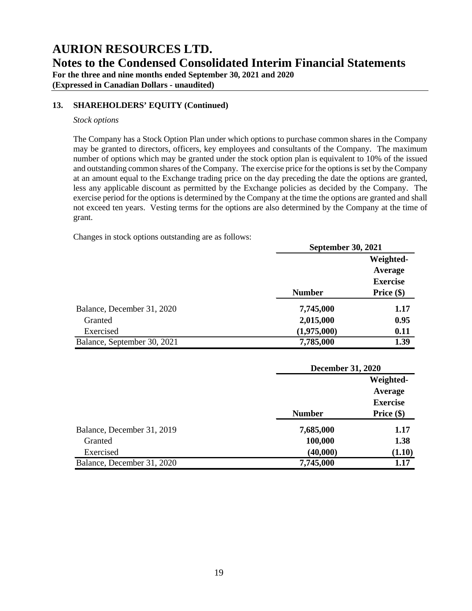**For the three and nine months ended September 30, 2021 and 2020**

**(Expressed in Canadian Dollars - unaudited)**

### **13. SHAREHOLDERS' EQUITY (Continued)**

#### *Stock options*

The Company has a Stock Option Plan under which options to purchase common shares in the Company may be granted to directors, officers, key employees and consultants of the Company. The maximum number of options which may be granted under the stock option plan is equivalent to 10% of the issued and outstanding common shares of the Company. The exercise price for the options is set by the Company at an amount equal to the Exchange trading price on the day preceding the date the options are granted, less any applicable discount as permitted by the Exchange policies as decided by the Company. The exercise period for the options is determined by the Company at the time the options are granted and shall not exceed ten years. Vesting terms for the options are also determined by the Company at the time of grant.

Changes in stock options outstanding are as follows:

|                             |               | <b>September 30, 2021</b> |  |
|-----------------------------|---------------|---------------------------|--|
|                             |               | Weighted-                 |  |
|                             |               | Average                   |  |
|                             |               | <b>Exercise</b>           |  |
|                             | <b>Number</b> | Price $(\$)$              |  |
| Balance, December 31, 2020  | 7,745,000     | 1.17                      |  |
| Granted                     | 2,015,000     | 0.95                      |  |
| Exercised                   | (1,975,000)   | 0.11                      |  |
| Balance, September 30, 2021 | 7,785,000     | 1.39                      |  |

|                            |               | <b>December 31, 2020</b> |  |
|----------------------------|---------------|--------------------------|--|
|                            |               | Weighted-                |  |
|                            |               | Average                  |  |
|                            |               | <b>Exercise</b>          |  |
|                            | <b>Number</b> | Price $(\$)$             |  |
| Balance, December 31, 2019 | 7,685,000     | 1.17                     |  |
| Granted                    | 100,000       | 1.38                     |  |
| Exercised                  | (40,000)      | (1.10)                   |  |
| Balance, December 31, 2020 | 7,745,000     | 1.17                     |  |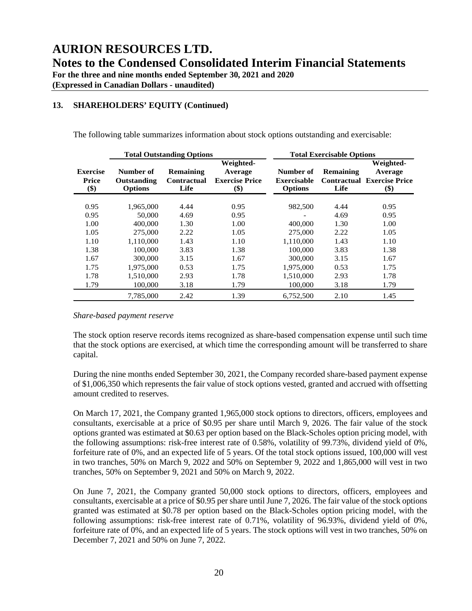**(Expressed in Canadian Dollars - unaudited)**

# **13. SHAREHOLDERS' EQUITY (Continued)**

The following table summarizes information about stock options outstanding and exercisable:

|                                 |                                            | <b>Total Outstanding Options</b>               |                                                      |                                                   | <b>Total Exercisable Options</b> |                                                                    |
|---------------------------------|--------------------------------------------|------------------------------------------------|------------------------------------------------------|---------------------------------------------------|----------------------------------|--------------------------------------------------------------------|
| <b>Exercise</b><br>Price<br>\$) | Number of<br>Outstanding<br><b>Options</b> | <b>Remaining</b><br><b>Contractual</b><br>Life | Weighted-<br>Average<br><b>Exercise Price</b><br>\$) | Number of<br><b>Exercisable</b><br><b>Options</b> | Remaining<br>Life                | Weighted-<br>Average<br><b>Contractual Exercise Price</b><br>$($)$ |
| 0.95                            | 1,965,000                                  | 4.44                                           | 0.95                                                 | 982,500                                           | 4.44                             | 0.95                                                               |
| 0.95                            | 50,000                                     | 4.69                                           | 0.95                                                 |                                                   | 4.69                             | 0.95                                                               |
| 1.00                            | 400,000                                    | 1.30                                           | 1.00                                                 | 400,000                                           | 1.30                             | 1.00                                                               |
| 1.05                            | 275,000                                    | 2.22                                           | 1.05                                                 | 275,000                                           | 2.22                             | 1.05                                                               |
| 1.10                            | 1.110.000                                  | 1.43                                           | 1.10                                                 | 1,110,000                                         | 1.43                             | 1.10                                                               |
| 1.38                            | 100,000                                    | 3.83                                           | 1.38                                                 | 100,000                                           | 3.83                             | 1.38                                                               |
| 1.67                            | 300,000                                    | 3.15                                           | 1.67                                                 | 300,000                                           | 3.15                             | 1.67                                                               |
| 1.75                            | 1,975,000                                  | 0.53                                           | 1.75                                                 | 1,975,000                                         | 0.53                             | 1.75                                                               |
| 1.78                            | 1,510,000                                  | 2.93                                           | 1.78                                                 | 1.510.000                                         | 2.93                             | 1.78                                                               |
| 1.79                            | 100,000                                    | 3.18                                           | 1.79                                                 | 100,000                                           | 3.18                             | 1.79                                                               |
|                                 | 7,785,000                                  | 2.42                                           | 1.39                                                 | 6,752,500                                         | 2.10                             | 1.45                                                               |

#### *Share-based payment reserve*

The stock option reserve records items recognized as share-based compensation expense until such time that the stock options are exercised, at which time the corresponding amount will be transferred to share capital.

During the nine months ended September 30, 2021, the Company recorded share-based payment expense of \$1,006,350 which represents the fair value of stock options vested, granted and accrued with offsetting amount credited to reserves.

On March 17, 2021, the Company granted 1,965,000 stock options to directors, officers, employees and consultants, exercisable at a price of \$0.95 per share until March 9, 2026. The fair value of the stock options granted was estimated at \$0.63 per option based on the Black-Scholes option pricing model, with the following assumptions: risk-free interest rate of 0.58%, volatility of 99.73%, dividend yield of 0%, forfeiture rate of 0%, and an expected life of 5 years. Of the total stock options issued, 100,000 will vest in two tranches, 50% on March 9, 2022 and 50% on September 9, 2022 and 1,865,000 will vest in two tranches, 50% on September 9, 2021 and 50% on March 9, 2022.

On June 7, 2021, the Company granted 50,000 stock options to directors, officers, employees and consultants, exercisable at a price of \$0.95 per share until June 7, 2026. The fair value of the stock options granted was estimated at \$0.78 per option based on the Black-Scholes option pricing model, with the following assumptions: risk-free interest rate of 0.71%, volatility of 96.93%, dividend yield of 0%, forfeiture rate of 0%, and an expected life of 5 years. The stock options will vest in two tranches, 50% on December 7, 2021 and 50% on June 7, 2022.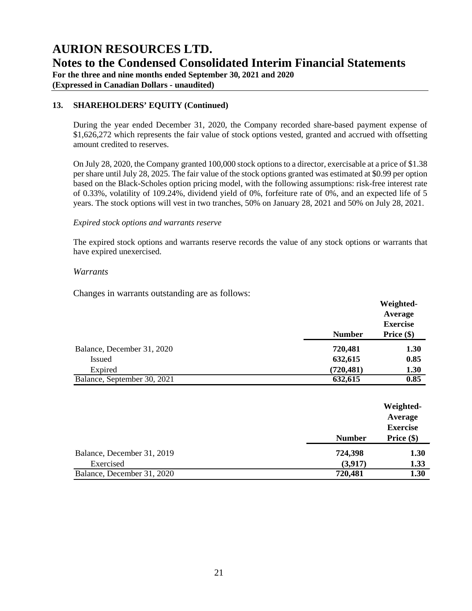**AURION RESOURCES LTD. Notes to the Condensed Consolidated Interim Financial Statements For the three and nine months ended September 30, 2021 and 2020**

**(Expressed in Canadian Dollars - unaudited)**

## **13. SHAREHOLDERS' EQUITY (Continued)**

During the year ended December 31, 2020, the Company recorded share-based payment expense of \$1,626,272 which represents the fair value of stock options vested, granted and accrued with offsetting amount credited to reserves.

On July 28, 2020, the Company granted 100,000 stock options to a director, exercisable at a price of \$1.38 per share until July 28, 2025. The fair value of the stock options granted was estimated at \$0.99 per option based on the Black-Scholes option pricing model, with the following assumptions: risk-free interest rate of 0.33%, volatility of 109.24%, dividend yield of 0%, forfeiture rate of 0%, and an expected life of 5 years. The stock options will vest in two tranches, 50% on January 28, 2021 and 50% on July 28, 2021.

#### *Expired stock options and warrants reserve*

The expired stock options and warrants reserve records the value of any stock options or warrants that have expired unexercised.

### *Warrants*

Changes in warrants outstanding are as follows:

|                             |               | Weighted-       |
|-----------------------------|---------------|-----------------|
|                             |               | Average         |
|                             |               | <b>Exercise</b> |
|                             | <b>Number</b> | Price $(\$)$    |
| Balance, December 31, 2020  | 720,481       | 1.30            |
| <b>Issued</b>               | 632,615       | 0.85            |
| Expired                     | (720, 481)    | 1.30            |
| Balance, September 30, 2021 | 632,615       | 0.85            |

|                            |               | Weighted-       |
|----------------------------|---------------|-----------------|
|                            |               | Average         |
|                            |               | <b>Exercise</b> |
|                            | <b>Number</b> | Price $(\$)$    |
| Balance, December 31, 2019 | 724,398       | 1.30            |
| Exercised                  | (3,917)       | 1.33            |
| Balance, December 31, 2020 | 720,481       | 1.30            |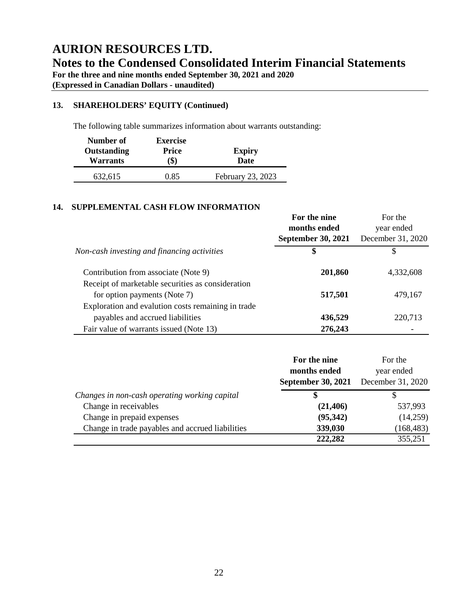# **AURION RESOURCES LTD. Notes to the Condensed Consolidated Interim Financial Statements For the three and nine months ended September 30, 2021 and 2020**

**(Expressed in Canadian Dollars - unaudited)**

# **13. SHAREHOLDERS' EQUITY (Continued)**

The following table summarizes information about warrants outstanding:

| Number of                      | <b>Exercise</b>     |                              |
|--------------------------------|---------------------|------------------------------|
| Outstanding<br><b>Warrants</b> | <b>Price</b><br>(S) | <b>Expiry</b><br><b>Date</b> |
|                                |                     |                              |
| 632,615                        | 0.85                | February 23, 2023            |

### **14. SUPPLEMENTAL CASH FLOW INFORMATION**

|                                                    | For the nine                              | For the                         |  |
|----------------------------------------------------|-------------------------------------------|---------------------------------|--|
|                                                    | months ended<br><b>September 30, 2021</b> | year ended<br>December 31, 2020 |  |
| Non-cash investing and financing activities        | \$                                        | S                               |  |
| Contribution from associate (Note 9)               | 201,860                                   | 4,332,608                       |  |
| Receipt of marketable securities as consideration  |                                           |                                 |  |
| for option payments (Note 7)                       | 517,501                                   | 479,167                         |  |
| Exploration and evalution costs remaining in trade |                                           |                                 |  |
| payables and accrued liabilities                   | 436,529                                   | 220,713                         |  |
| Fair value of warrants issued (Note 13)            | 276,243                                   |                                 |  |

|                                                  | For the nine<br>For the   |                   |
|--------------------------------------------------|---------------------------|-------------------|
|                                                  | months ended              | year ended        |
|                                                  | <b>September 30, 2021</b> | December 31, 2020 |
| Changes in non-cash operating working capital    |                           |                   |
| Change in receivables                            | (21, 406)                 | 537,993           |
| Change in prepaid expenses                       | (95, 342)                 | (14,259)          |
| Change in trade payables and accrued liabilities | 339,030                   | (168, 483)        |
|                                                  | 222,282                   | 355,251           |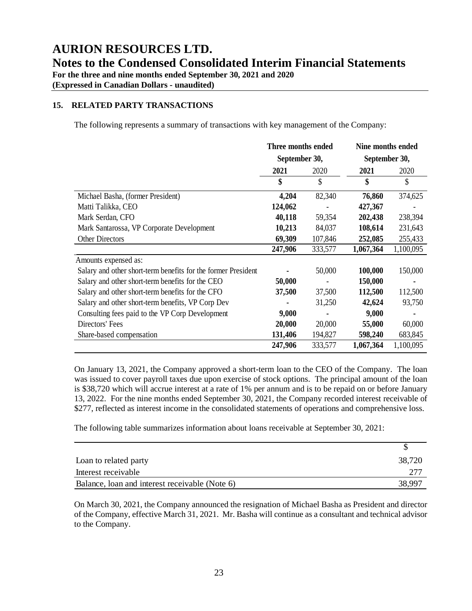**(Expressed in Canadian Dollars - unaudited)**

## **15. RELATED PARTY TRANSACTIONS**

The following represents a summary of transactions with key management of the Company:

|                                                               | Three months ended |         | Nine months ended |           |
|---------------------------------------------------------------|--------------------|---------|-------------------|-----------|
|                                                               | September 30,      |         | September 30,     |           |
|                                                               | 2021               | 2020    | 2021              | 2020      |
|                                                               | \$                 | \$      | \$                | \$        |
| Michael Basha, (former President)                             | 4,204              | 82,340  | 76,860            | 374,625   |
| Matti Talikka, CEO                                            | 124,062            |         | 427,367           |           |
| Mark Serdan, CFO                                              | 40,118             | 59,354  | 202,438           | 238,394   |
| Mark Santarossa, VP Corporate Development                     | 10,213             | 84,037  | 108,614           | 231,643   |
| <b>Other Directors</b>                                        | 69,309             | 107,846 | 252,085           | 255,433   |
|                                                               | 247,906            | 333,577 | 1,067,364         | 1,100,095 |
| Amounts expensed as:                                          |                    |         |                   |           |
| Salary and other short-term benefits for the former President |                    | 50,000  | 100,000           | 150,000   |
| Salary and other short-term benefits for the CEO              | 50,000             |         | 150,000           |           |
| Salary and other short-term benefits for the CFO              | 37,500             | 37,500  | 112,500           | 112,500   |
| Salary and other short-term benefits, VP Corp Dev             |                    | 31,250  | 42,624            | 93,750    |
| Consulting fees paid to the VP Corp Development               | 9,000              |         | 9,000             |           |
| Directors' Fees                                               | 20,000             | 20,000  | 55,000            | 60,000    |
| Share-based compensation                                      | 131,406            | 194,827 | 598,240           | 683,845   |
|                                                               | 247,906            | 333,577 | 1,067,364         | 1,100,095 |

On January 13, 2021, the Company approved a short-term loan to the CEO of the Company. The loan was issued to cover payroll taxes due upon exercise of stock options. The principal amount of the loan is \$38,720 which will accrue interest at a rate of 1% per annum and is to be repaid on or before January 13, 2022. For the nine months ended September 30, 2021, the Company recorded interest receivable of \$277, reflected as interest income in the consolidated statements of operations and comprehensive loss.

The following table summarizes information about loans receivable at September 30, 2021:

| Loan to related party                          | 38,720 |
|------------------------------------------------|--------|
| Interest receivable                            |        |
| Balance, loan and interest receivable (Note 6) | 38,997 |

On March 30, 2021, the Company announced the resignation of Michael Basha as President and director of the Company, effective March 31, 2021. Mr. Basha will continue as a consultant and technical advisor to the Company.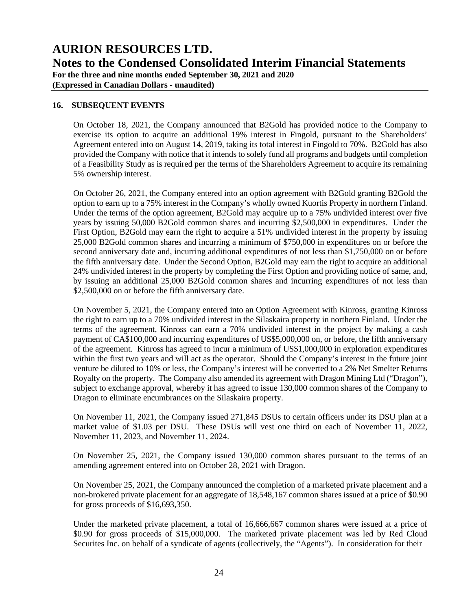**For the three and nine months ended September 30, 2021 and 2020**

**(Expressed in Canadian Dollars - unaudited)**

### **16. SUBSEQUENT EVENTS**

On October 18, 2021, the Company announced that B2Gold has provided notice to the Company to exercise its option to acquire an additional 19% interest in Fingold, pursuant to the Shareholders' Agreement entered into on August 14, 2019, taking its total interest in Fingold to 70%. B2Gold has also provided the Company with notice that it intends to solely fund all programs and budgets until completion of a Feasibility Study as is required per the terms of the Shareholders Agreement to acquire its remaining 5% ownership interest.

On October 26, 2021, the Company entered into an option agreement with B2Gold granting B2Gold the option to earn up to a 75% interest in the Company's wholly owned Kuortis Property in northern Finland. Under the terms of the option agreement, B2Gold may acquire up to a 75% undivided interest over five years by issuing 50,000 B2Gold common shares and incurring \$2,500,000 in expenditures. Under the First Option, B2Gold may earn the right to acquire a 51% undivided interest in the property by issuing 25,000 B2Gold common shares and incurring a minimum of \$750,000 in expenditures on or before the second anniversary date and, incurring additional expenditures of not less than \$1,750,000 on or before the fifth anniversary date. Under the Second Option, B2Gold may earn the right to acquire an additional 24% undivided interest in the property by completing the First Option and providing notice of same, and, by issuing an additional 25,000 B2Gold common shares and incurring expenditures of not less than \$2,500,000 on or before the fifth anniversary date.

On November 5, 2021, the Company entered into an Option Agreement with Kinross, granting Kinross the right to earn up to a 70% undivided interest in the Silaskaira property in northern Finland. Under the terms of the agreement, Kinross can earn a 70% undivided interest in the project by making a cash payment of CA\$100,000 and incurring expenditures of US\$5,000,000 on, or before, the fifth anniversary of the agreement. Kinross has agreed to incur a minimum of US\$1,000,000 in exploration expenditures within the first two years and will act as the operator. Should the Company's interest in the future joint venture be diluted to 10% or less, the Company's interest will be converted to a 2% Net Smelter Returns Royalty on the property. The Company also amended its agreement with Dragon Mining Ltd ("Dragon"), subject to exchange approval, whereby it has agreed to issue 130,000 common shares of the Company to Dragon to eliminate encumbrances on the Silaskaira property.

On November 11, 2021, the Company issued 271,845 DSUs to certain officers under its DSU plan at a market value of \$1.03 per DSU. These DSUs will vest one third on each of November 11, 2022, November 11, 2023, and November 11, 2024.

On November 25, 2021, the Company issued 130,000 common shares pursuant to the terms of an amending agreement entered into on October 28, 2021 with Dragon.

On November 25, 2021, the Company announced the completion of a marketed private placement and a non-brokered private placement for an aggregate of 18,548,167 common shares issued at a price of \$0.90 for gross proceeds of \$16,693,350.

Under the marketed private placement, a total of 16,666,667 common shares were issued at a price of \$0.90 for gross proceeds of \$15,000,000. The marketed private placement was led by Red Cloud Securites Inc. on behalf of a syndicate of agents (collectively, the "Agents"). In consideration for their